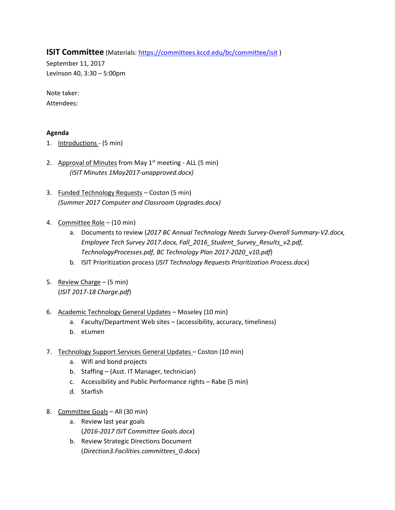**ISIT Committee** (Materials[: https://committees.kccd.edu/bc/committee/isit](https://committees.kccd.edu/bc/committee/isit))

September 11, 2017 Levinson 40, 3:30 – 5:00pm

Note taker: Attendees:

## **Agenda**

- 1. Introductions (5 min)
- 2. Approval of Minutes from May 1<sup>st</sup> meeting ALL (5 min) *(ISIT Minutes 1May2017-unapproved.docx)*
- 3. Funded Technology Requests Coston (5 min) *(Summer 2017 Computer and Classroom Upgrades.docx)*
- 4. Committee Role (10 min)
	- a. Documents to review (*2017 BC Annual Technology Needs Survey-Overall Summary-V2.docx, Employee Tech Survey 2017.docx, Fall\_2016\_Student\_Survey\_Results\_v2.pdf, TechnologyProcesses.pdf, BC Technology Plan 2017-2020\_v10.pdf*)
	- b. ISIT Prioritization process (*ISIT Technology Requests Prioritization Process.docx*)
- 5. Review Charge (5 min) (*ISIT 2017-18 Charge.pdf*)
- 6. Academic Technology General Updates Moseley (10 min)
	- a. Faculty/Department Web sites (accessibility, accuracy, timeliness)
	- b. eLumen
- 7. Technology Support Services General Updates Coston (10 min)
	- a. Wifi and bond projects
	- b. Staffing (Asst. IT Manager, technician)
	- c. Accessibility and Public Performance rights Rabe (5 min)
	- d. Starfish
- 8. Committee Goals All (30 min)
	- a. Review last year goals (*2016-2017 ISIT Committee Goals.docx*)
	- b. Review Strategic Directions Document (*Direction3.Facilities.committees\_0.docx*)